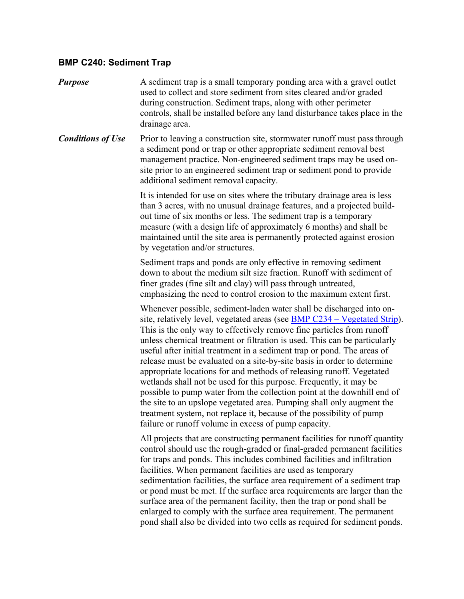## **BMP C240: Sediment Trap**

*Purpose* A sediment trap is a small temporary ponding area with a gravel outlet used to collect and store sediment from sites cleared and/or graded during construction. Sediment traps, along with other perimeter controls, shall be installed before any land disturbance takes place in the drainage area.

*Conditions of Use* Prior to leaving a construction site, stormwater runoff must pass through a sediment pond or trap or other appropriate sediment removal best management practice. Non-engineered sediment traps may be used onsite prior to an engineered sediment trap or sediment pond to provide additional sediment removal capacity.

> It is intended for use on sites where the tributary drainage area is less than 3 acres, with no unusual drainage features, and a projected buildout time of six months or less. The sediment trap is a temporary measure (with a design life of approximately 6 months) and shall be maintained until the site area is permanently protected against erosion by vegetation and/or structures.

Sediment traps and ponds are only effective in removing sediment down to about the medium silt size fraction. Runoff with sediment of finer grades (fine silt and clay) will pass through untreated, emphasizing the need to control erosion to the maximum extent first.

Whenever possible, sediment-laden water shall be discharged into onsite, relatively level, vegetated areas (see **BMP C234 – Vegetated Strip)**. This is the only way to effectively remove fine particles from runoff unless chemical treatment or filtration is used. This can be particularly useful after initial treatment in a sediment trap or pond. The areas of release must be evaluated on a site-by-site basis in order to determine appropriate locations for and methods of releasing runoff. Vegetated wetlands shall not be used for this purpose. Frequently, it may be possible to pump water from the collection point at the downhill end of the site to an upslope vegetated area. Pumping shall only augment the treatment system, not replace it, because of the possibility of pump failure or runoff volume in excess of pump capacity.

All projects that are constructing permanent facilities for runoff quantity control should use the rough-graded or final-graded permanent facilities for traps and ponds. This includes combined facilities and infiltration facilities. When permanent facilities are used as temporary sedimentation facilities, the surface area requirement of a sediment trap or pond must be met. If the surface area requirements are larger than the surface area of the permanent facility, then the trap or pond shall be enlarged to comply with the surface area requirement. The permanent pond shall also be divided into two cells as required for sediment ponds.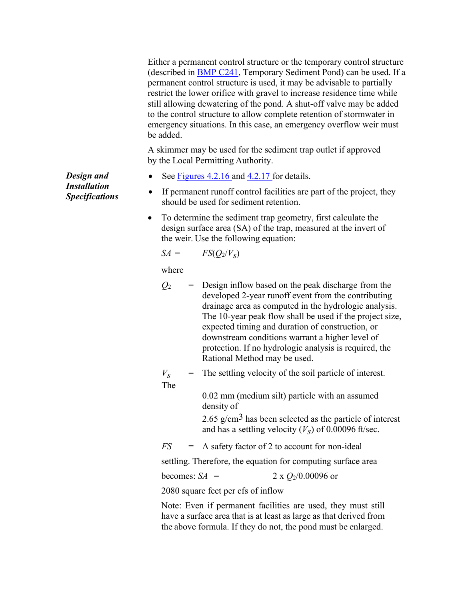Either a permanent control structure or the temporary control structure (described in BMP C241, Temporary Sediment Pond) can be used. If a permanent control structure is used, it may be advisable to partially restrict the lower orifice with gravel to increase residence time while still allowing dewatering of the pond. A shut-off valve may be added to the control structure to allow complete retention of stormwater in emergency situations. In this case, an emergency overflow weir must be added.

A skimmer may be used for the sediment trap outlet if approved by the Local Permitting Authority.

See [Figures 4.2.16](#page-2-0) and [4.2.17](#page-2-1) for details.

*Design and Installation Specifications*

- If permanent runoff control facilities are part of the project, they should be used for sediment retention.
- To determine the sediment trap geometry, first calculate the design surface area (SA) of the trap, measured at the invert of the weir. Use the following equation:

 $SA = FS(Q_2/V_S)$ 

where

- $Q_2$  = Design inflow based on the peak discharge from the developed 2-year runoff event from the contributing drainage area as computed in the hydrologic analysis. The 10-year peak flow shall be used if the project size, expected timing and duration of construction, or downstream conditions warrant a higher level of protection. If no hydrologic analysis is required, the Rational Method may be used.
- $V_s$  = The settling velocity of the soil particle of interest. The

0.02 mm (medium silt) particle with an assumed density of

2.65 g/cm<sup>3</sup> has been selected as the particle of interest and has a settling velocity  $(V<sub>S</sub>)$  of 0.00096 ft/sec.

*FS* = A safety factor of 2 to account for non-ideal

settling. Therefore, the equation for computing surface area

becomes:  $SA = 2 \times Q_2/0.00096$  or

2080 square feet per cfs of inflow

Note: Even if permanent facilities are used, they must still have a surface area that is at least as large as that derived from the above formula. If they do not, the pond must be enlarged.